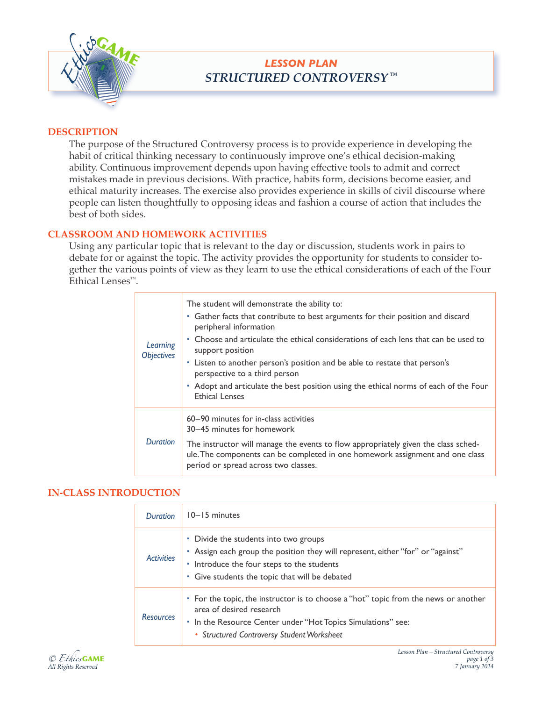

# *LESSON PLAN STRUCTURED CONTROVERSY ™*

### **DESCRIPTION**

The purpose of the Structured Controversy process is to provide experience in developing the habit of critical thinking necessary to continuously improve one's ethical decision-making ability. Continuous improvement depends upon having effective tools to admit and correct mistakes made in previous decisions. With practice, habits form, decisions become easier, and ethical maturity increases. The exercise also provides experience in skills of civil discourse where people can listen thoughtfully to opposing ideas and fashion a course of action that includes the best of both sides.

### **CLASSROOM AND HOMEWORK ACTIVITIES**

Using any particular topic that is relevant to the day or discussion, students work in pairs to debate for or against the topic. The activity provides the opportunity for students to consider together the various points of view as they learn to use the ethical considerations of each of the Four Ethical Lenses™.

| Learning<br><i><b>Objectives</b></i> | The student will demonstrate the ability to:<br>Gather facts that contribute to best arguments for their position and discard<br>ш<br>peripheral information<br>• Choose and articulate the ethical considerations of each lens that can be used to<br>support position<br>- Listen to another person's position and be able to restate that person's<br>perspective to a third person<br>• Adopt and articulate the best position using the ethical norms of each of the Four<br><b>Ethical Lenses</b> |
|--------------------------------------|---------------------------------------------------------------------------------------------------------------------------------------------------------------------------------------------------------------------------------------------------------------------------------------------------------------------------------------------------------------------------------------------------------------------------------------------------------------------------------------------------------|
| <b>Duration</b>                      | 60–90 minutes for in-class activities<br>30–45 minutes for homework<br>The instructor will manage the events to flow appropriately given the class sched-<br>ule. The components can be completed in one homework assignment and one class<br>period or spread across two classes.                                                                                                                                                                                                                      |

#### **IN-CLASS INTRODUCTION**

| Duration          | $10 - 15$ minutes                                                                                                                                                                                                             |
|-------------------|-------------------------------------------------------------------------------------------------------------------------------------------------------------------------------------------------------------------------------|
| <b>Activities</b> | • Divide the students into two groups<br>• Assign each group the position they will represent, either "for" or "against"<br>• Introduce the four steps to the students<br>• Give students the topic that will be debated      |
| <b>Resources</b>  | • For the topic, the instructor is to choose a "hot" topic from the news or another<br>area of desired research<br>• In the Resource Center under "Hot Topics Simulations" see:<br>• Structured Controversy Student Worksheet |

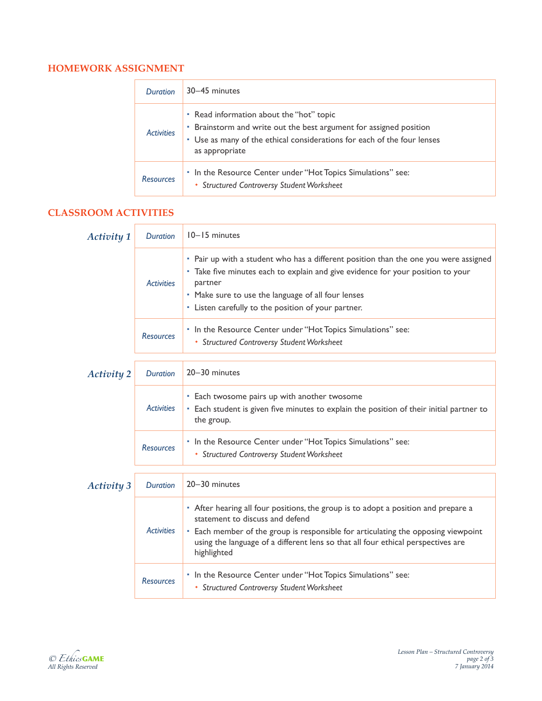# **HOMEWORK ASSIGNMENT**

| <b>Duration</b>   | 30-45 minutes                                                                                                                                                                                               |  |  |
|-------------------|-------------------------------------------------------------------------------------------------------------------------------------------------------------------------------------------------------------|--|--|
| <b>Activities</b> | • Read information about the "hot" topic<br>• Brainstorm and write out the best argument for assigned position<br>• Use as many of the ethical considerations for each of the four lenses<br>as appropriate |  |  |
| <b>Resources</b>  | • In the Resource Center under "Hot Topics Simulations" see:<br>• Structured Controversy Student Worksheet                                                                                                  |  |  |

# **CLASSROOM ACTIVITIES**

| <b>Activity 1</b> | <b>Duration</b>   | 10-15 minutes                                                                                                                                                                                                                                                                                                 |
|-------------------|-------------------|---------------------------------------------------------------------------------------------------------------------------------------------------------------------------------------------------------------------------------------------------------------------------------------------------------------|
|                   | <b>Activities</b> | • Pair up with a student who has a different position than the one you were assigned<br>- Take five minutes each to explain and give evidence for your position to your<br>partner<br>• Make sure to use the language of all four lenses<br>• Listen carefully to the position of your partner.               |
|                   | <b>Resources</b>  | • In the Resource Center under "Hot Topics Simulations" see:<br>• Structured Controversy Student Worksheet                                                                                                                                                                                                    |
| <b>Activity 2</b> | <b>Duration</b>   | 20-30 minutes                                                                                                                                                                                                                                                                                                 |
|                   | <b>Activities</b> | · Each twosome pairs up with another twosome<br>- Each student is given five minutes to explain the position of their initial partner to<br>the group.                                                                                                                                                        |
|                   | <b>Resources</b>  | • In the Resource Center under "Hot Topics Simulations" see:<br>• Structured Controversy Student Worksheet                                                                                                                                                                                                    |
| <b>Activity 3</b> | <b>Duration</b>   | 20-30 minutes                                                                                                                                                                                                                                                                                                 |
|                   | <b>Activities</b> | • After hearing all four positions, the group is to adopt a position and prepare a<br>statement to discuss and defend<br>• Each member of the group is responsible for articulating the opposing viewpoint<br>using the language of a different lens so that all four ethical perspectives are<br>highlighted |
|                   | <b>Resources</b>  | • In the Resource Center under "Hot Topics Simulations" see:<br>• Structured Controversy Student Worksheet                                                                                                                                                                                                    |